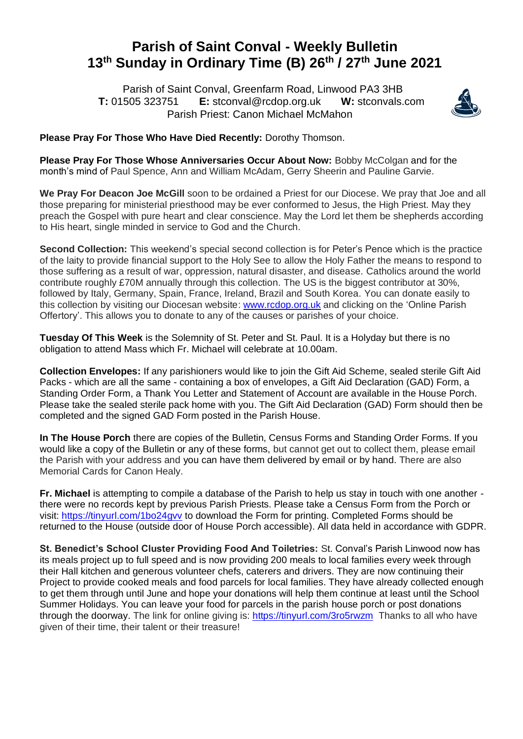## **Parish of Saint Conval - Weekly Bulletin 13 th Sunday in Ordinary Time (B) 26th / 27 th June 2021**

 Parish of Saint Conval, Greenfarm Road, Linwood PA3 3HB **T:** 01505 323751 **E:** [stconval@rcdop.org.uk](mailto:stconval@rcdop.org.uk) **W:** stconvals.com Parish Priest: Canon Michael McMahon



**Please Pray For Those Who Have Died Recently:** Dorothy Thomson.

**Please Pray For Those Whose Anniversaries Occur About Now:** Bobby McColgan and for the month's mind of Paul Spence, Ann and William McAdam, Gerry Sheerin and Pauline Garvie.

**We Pray For Deacon Joe McGill** soon to be ordained a Priest for our Diocese. We pray that Joe and all those preparing for ministerial priesthood may be ever conformed to Jesus, the High Priest. May they preach the Gospel with pure heart and clear conscience. May the Lord let them be shepherds according to His heart, single minded in service to God and the Church.

**Second Collection:** This weekend's special second collection is for Peter's Pence which is the practice of the laity to provide financial support to the Holy See to allow the Holy Father the means to respond to those suffering as a result of war, oppression, natural disaster, and disease. Catholics around the world contribute roughly £70M annually through this collection. The US is the biggest contributor at 30%, followed by Italy, Germany, Spain, France, Ireland, Brazil and South Korea. You can donate easily to this collection by visiting our Diocesan website: [www.rcdop.org.uk](http://www.rcdop.org.uk/) and clicking on the 'Online Parish Offertory'. This allows you to donate to any of the causes or parishes of your choice.

**Tuesday Of This Week** is the Solemnity of St. Peter and St. Paul. It is a Holyday but there is no obligation to attend Mass which Fr. Michael will celebrate at 10.00am.

**Collection Envelopes:** If any parishioners would like to join the Gift Aid Scheme, sealed sterile Gift Aid Packs - which are all the same - containing a box of envelopes, a Gift Aid Declaration (GAD) Form, a Standing Order Form, a Thank You Letter and Statement of Account are available in the House Porch. Please take the sealed sterile pack home with you. The Gift Aid Declaration (GAD) Form should then be completed and the signed GAD Form posted in the Parish House.

**In The House Porch** there are copies of the Bulletin, Census Forms and Standing Order Forms. If you would like a copy of the Bulletin or any of these forms, but cannot get out to collect them, please email the Parish with your address and you can have them delivered by email or by hand. There are also Memorial Cards for Canon Healy.

**Fr. Michael** is attempting to compile a database of the Parish to help us stay in touch with one another there were no records kept by previous Parish Priests. Please take a Census Form from the Porch or visit:<https://tinyurl.com/1bo24gvv> to download the Form for printing. Completed Forms should be returned to the House (outside door of House Porch accessible). All data held in accordance with GDPR.

**St. Benedict's School Cluster Providing Food And Toiletries:** St. Conval's Parish Linwood now has its meals project up to full speed and is now providing 200 meals to local families every week through their Hall kitchen and generous volunteer chefs, caterers and drivers. They are now continuing their Project to provide cooked meals and food parcels for local families. They have already collected enough to get them through until June and hope your donations will help them continue at least until the School Summer Holidays. You can leave your food for parcels in the parish house porch or post donations through the doorway. The link for online giving is:<https://tinyurl.com/3ro5rwzm>Thanks to all who have given of their time, their talent or their treasure!